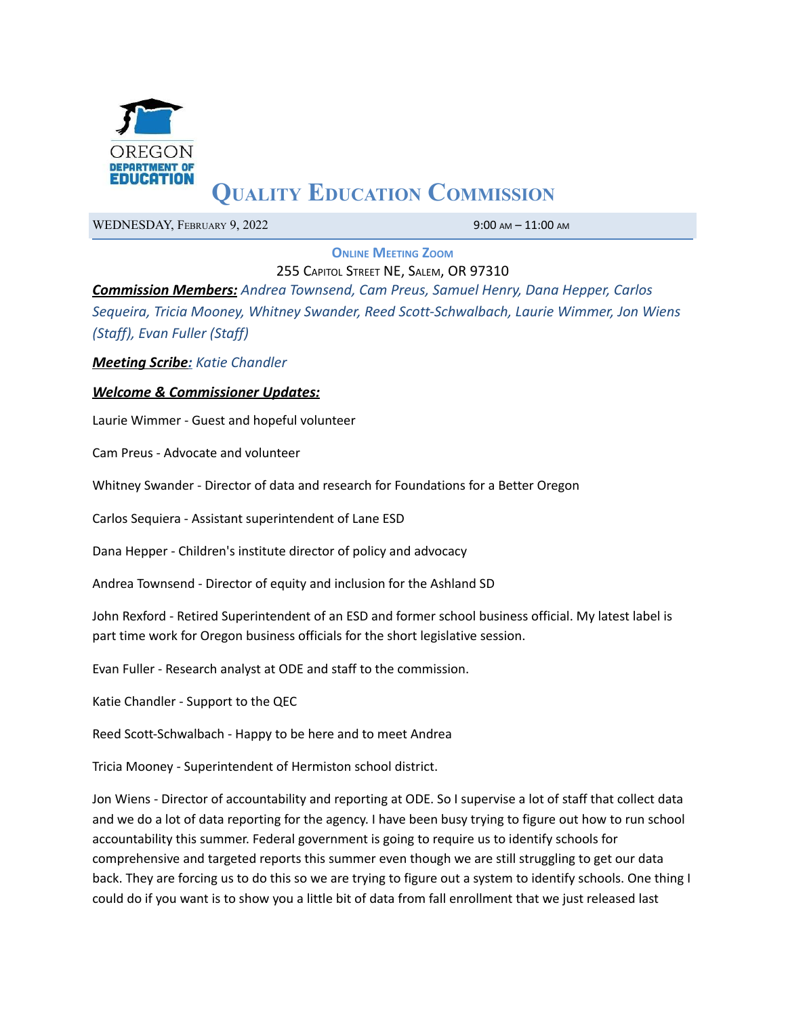

# **QUALITY EDUCATION COMMISSION**

WEDNESDAY, FEBRUARY 9, 2022 9:00 AM - 11:00 AM

**ONLINE MEETING ZOOM**

255 CAPITOL STREET NE, SALEM, OR 97310

*Commission Members: Andrea Townsend, Cam Preus, Samuel Henry, Dana Hepper, Carlos Sequeira, Tricia Mooney, Whitney Swander, Reed Scott-Schwalbach, Laurie Wimmer, Jon Wiens (Staff), Evan Fuller (Staff)*

*Meeting Scribe: Katie Chandler*

## *Welcome & Commissioner Updates:*

Laurie Wimmer - Guest and hopeful volunteer

Cam Preus - Advocate and volunteer

Whitney Swander - Director of data and research for Foundations for a Better Oregon

Carlos Sequiera - Assistant superintendent of Lane ESD

Dana Hepper - Children's institute director of policy and advocacy

Andrea Townsend - Director of equity and inclusion for the Ashland SD

John Rexford - Retired Superintendent of an ESD and former school business official. My latest label is part time work for Oregon business officials for the short legislative session.

Evan Fuller - Research analyst at ODE and staff to the commission.

Katie Chandler - Support to the QEC

Reed Scott-Schwalbach - Happy to be here and to meet Andrea

Tricia Mooney - Superintendent of Hermiston school district.

Jon Wiens - Director of accountability and reporting at ODE. So I supervise a lot of staff that collect data and we do a lot of data reporting for the agency. I have been busy trying to figure out how to run school accountability this summer. Federal government is going to require us to identify schools for comprehensive and targeted reports this summer even though we are still struggling to get our data back. They are forcing us to do this so we are trying to figure out a system to identify schools. One thing I could do if you want is to show you a little bit of data from fall enrollment that we just released last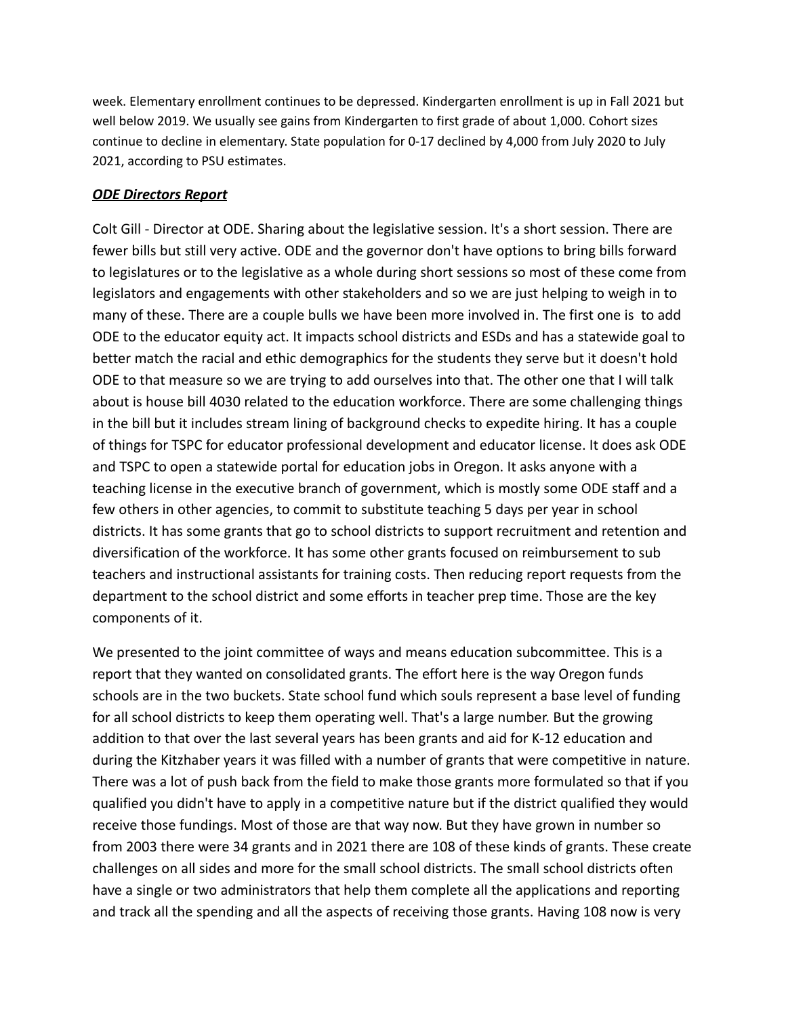week. Elementary enrollment continues to be depressed. Kindergarten enrollment is up in Fall 2021 but well below 2019. We usually see gains from Kindergarten to first grade of about 1,000. Cohort sizes continue to decline in elementary. State population for 0-17 declined by 4,000 from July 2020 to July 2021, according to PSU estimates.

## *ODE Directors Report*

Colt Gill - Director at ODE. Sharing about the legislative session. It's a short session. There are fewer bills but still very active. ODE and the governor don't have options to bring bills forward to legislatures or to the legislative as a whole during short sessions so most of these come from legislators and engagements with other stakeholders and so we are just helping to weigh in to many of these. There are a couple bulls we have been more involved in. The first one is to add ODE to the educator equity act. It impacts school districts and ESDs and has a statewide goal to better match the racial and ethic demographics for the students they serve but it doesn't hold ODE to that measure so we are trying to add ourselves into that. The other one that I will talk about is house bill 4030 related to the education workforce. There are some challenging things in the bill but it includes stream lining of background checks to expedite hiring. It has a couple of things for TSPC for educator professional development and educator license. It does ask ODE and TSPC to open a statewide portal for education jobs in Oregon. It asks anyone with a teaching license in the executive branch of government, which is mostly some ODE staff and a few others in other agencies, to commit to substitute teaching 5 days per year in school districts. It has some grants that go to school districts to support recruitment and retention and diversification of the workforce. It has some other grants focused on reimbursement to sub teachers and instructional assistants for training costs. Then reducing report requests from the department to the school district and some efforts in teacher prep time. Those are the key components of it.

We presented to the joint committee of ways and means education subcommittee. This is a report that they wanted on consolidated grants. The effort here is the way Oregon funds schools are in the two buckets. State school fund which souls represent a base level of funding for all school districts to keep them operating well. That's a large number. But the growing addition to that over the last several years has been grants and aid for K-12 education and during the Kitzhaber years it was filled with a number of grants that were competitive in nature. There was a lot of push back from the field to make those grants more formulated so that if you qualified you didn't have to apply in a competitive nature but if the district qualified they would receive those fundings. Most of those are that way now. But they have grown in number so from 2003 there were 34 grants and in 2021 there are 108 of these kinds of grants. These create challenges on all sides and more for the small school districts. The small school districts often have a single or two administrators that help them complete all the applications and reporting and track all the spending and all the aspects of receiving those grants. Having 108 now is very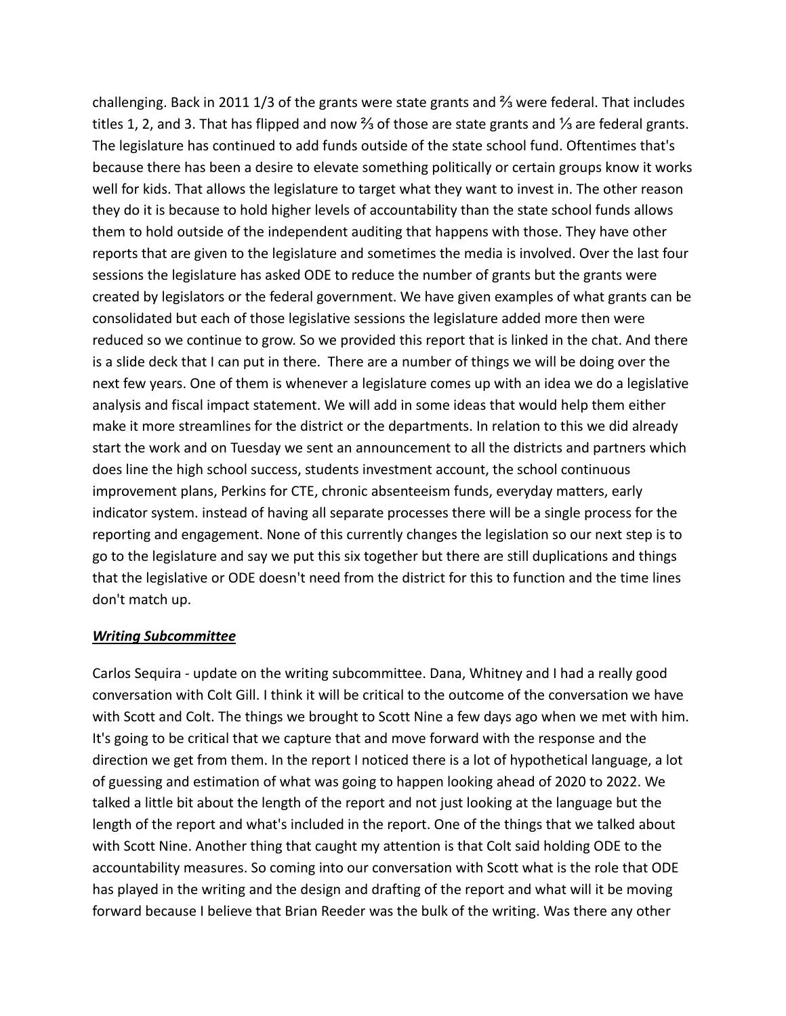challenging. Back in 2011 1/3 of the grants were state grants and ⅔ were federal. That includes titles 1, 2, and 3. That has flipped and now ⅔ of those are state grants and ⅓ are federal grants. The legislature has continued to add funds outside of the state school fund. Oftentimes that's because there has been a desire to elevate something politically or certain groups know it works well for kids. That allows the legislature to target what they want to invest in. The other reason they do it is because to hold higher levels of accountability than the state school funds allows them to hold outside of the independent auditing that happens with those. They have other reports that are given to the legislature and sometimes the media is involved. Over the last four sessions the legislature has asked ODE to reduce the number of grants but the grants were created by legislators or the federal government. We have given examples of what grants can be consolidated but each of those legislative sessions the legislature added more then were reduced so we continue to grow. So we provided this report that is linked in the chat. And there is a slide deck that I can put in there. There are a number of things we will be doing over the next few years. One of them is whenever a legislature comes up with an idea we do a legislative analysis and fiscal impact statement. We will add in some ideas that would help them either make it more streamlines for the district or the departments. In relation to this we did already start the work and on Tuesday we sent an announcement to all the districts and partners which does line the high school success, students investment account, the school continuous improvement plans, Perkins for CTE, chronic absenteeism funds, everyday matters, early indicator system. instead of having all separate processes there will be a single process for the reporting and engagement. None of this currently changes the legislation so our next step is to go to the legislature and say we put this six together but there are still duplications and things that the legislative or ODE doesn't need from the district for this to function and the time lines don't match up.

## *Writing Subcommittee*

Carlos Sequira - update on the writing subcommittee. Dana, Whitney and I had a really good conversation with Colt Gill. I think it will be critical to the outcome of the conversation we have with Scott and Colt. The things we brought to Scott Nine a few days ago when we met with him. It's going to be critical that we capture that and move forward with the response and the direction we get from them. In the report I noticed there is a lot of hypothetical language, a lot of guessing and estimation of what was going to happen looking ahead of 2020 to 2022. We talked a little bit about the length of the report and not just looking at the language but the length of the report and what's included in the report. One of the things that we talked about with Scott Nine. Another thing that caught my attention is that Colt said holding ODE to the accountability measures. So coming into our conversation with Scott what is the role that ODE has played in the writing and the design and drafting of the report and what will it be moving forward because I believe that Brian Reeder was the bulk of the writing. Was there any other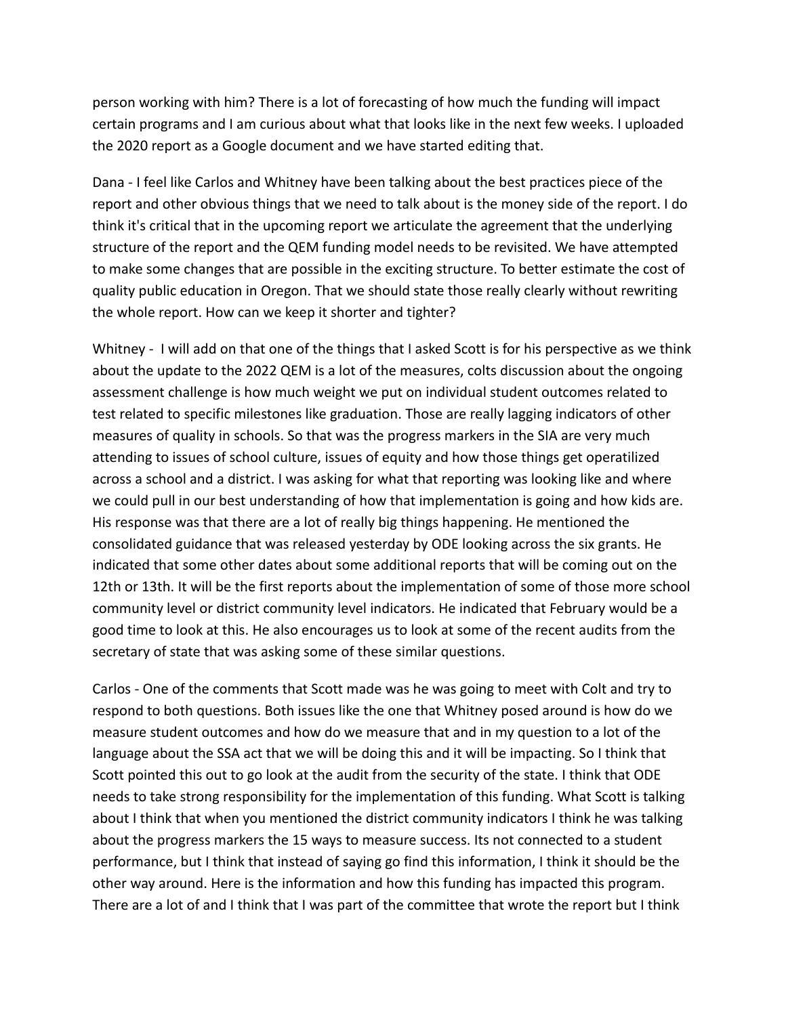person working with him? There is a lot of forecasting of how much the funding will impact certain programs and I am curious about what that looks like in the next few weeks. I uploaded the 2020 report as a Google document and we have started editing that.

Dana - I feel like Carlos and Whitney have been talking about the best practices piece of the report and other obvious things that we need to talk about is the money side of the report. I do think it's critical that in the upcoming report we articulate the agreement that the underlying structure of the report and the QEM funding model needs to be revisited. We have attempted to make some changes that are possible in the exciting structure. To better estimate the cost of quality public education in Oregon. That we should state those really clearly without rewriting the whole report. How can we keep it shorter and tighter?

Whitney - I will add on that one of the things that I asked Scott is for his perspective as we think about the update to the 2022 QEM is a lot of the measures, colts discussion about the ongoing assessment challenge is how much weight we put on individual student outcomes related to test related to specific milestones like graduation. Those are really lagging indicators of other measures of quality in schools. So that was the progress markers in the SIA are very much attending to issues of school culture, issues of equity and how those things get operatilized across a school and a district. I was asking for what that reporting was looking like and where we could pull in our best understanding of how that implementation is going and how kids are. His response was that there are a lot of really big things happening. He mentioned the consolidated guidance that was released yesterday by ODE looking across the six grants. He indicated that some other dates about some additional reports that will be coming out on the 12th or 13th. It will be the first reports about the implementation of some of those more school community level or district community level indicators. He indicated that February would be a good time to look at this. He also encourages us to look at some of the recent audits from the secretary of state that was asking some of these similar questions.

Carlos - One of the comments that Scott made was he was going to meet with Colt and try to respond to both questions. Both issues like the one that Whitney posed around is how do we measure student outcomes and how do we measure that and in my question to a lot of the language about the SSA act that we will be doing this and it will be impacting. So I think that Scott pointed this out to go look at the audit from the security of the state. I think that ODE needs to take strong responsibility for the implementation of this funding. What Scott is talking about I think that when you mentioned the district community indicators I think he was talking about the progress markers the 15 ways to measure success. Its not connected to a student performance, but I think that instead of saying go find this information, I think it should be the other way around. Here is the information and how this funding has impacted this program. There are a lot of and I think that I was part of the committee that wrote the report but I think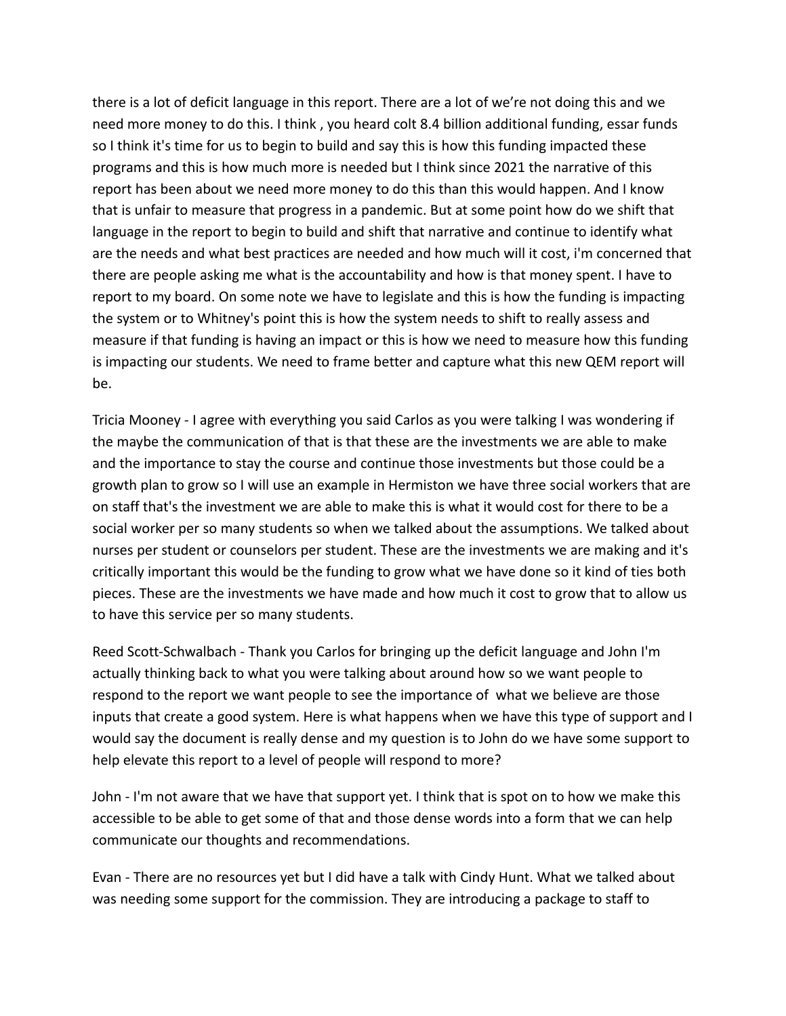there is a lot of deficit language in this report. There are a lot of we're not doing this and we need more money to do this. I think , you heard colt 8.4 billion additional funding, essar funds so I think it's time for us to begin to build and say this is how this funding impacted these programs and this is how much more is needed but I think since 2021 the narrative of this report has been about we need more money to do this than this would happen. And I know that is unfair to measure that progress in a pandemic. But at some point how do we shift that language in the report to begin to build and shift that narrative and continue to identify what are the needs and what best practices are needed and how much will it cost, i'm concerned that there are people asking me what is the accountability and how is that money spent. I have to report to my board. On some note we have to legislate and this is how the funding is impacting the system or to Whitney's point this is how the system needs to shift to really assess and measure if that funding is having an impact or this is how we need to measure how this funding is impacting our students. We need to frame better and capture what this new QEM report will be.

Tricia Mooney - I agree with everything you said Carlos as you were talking I was wondering if the maybe the communication of that is that these are the investments we are able to make and the importance to stay the course and continue those investments but those could be a growth plan to grow so I will use an example in Hermiston we have three social workers that are on staff that's the investment we are able to make this is what it would cost for there to be a social worker per so many students so when we talked about the assumptions. We talked about nurses per student or counselors per student. These are the investments we are making and it's critically important this would be the funding to grow what we have done so it kind of ties both pieces. These are the investments we have made and how much it cost to grow that to allow us to have this service per so many students.

Reed Scott-Schwalbach - Thank you Carlos for bringing up the deficit language and John I'm actually thinking back to what you were talking about around how so we want people to respond to the report we want people to see the importance of what we believe are those inputs that create a good system. Here is what happens when we have this type of support and I would say the document is really dense and my question is to John do we have some support to help elevate this report to a level of people will respond to more?

John - I'm not aware that we have that support yet. I think that is spot on to how we make this accessible to be able to get some of that and those dense words into a form that we can help communicate our thoughts and recommendations.

Evan - There are no resources yet but I did have a talk with Cindy Hunt. What we talked about was needing some support for the commission. They are introducing a package to staff to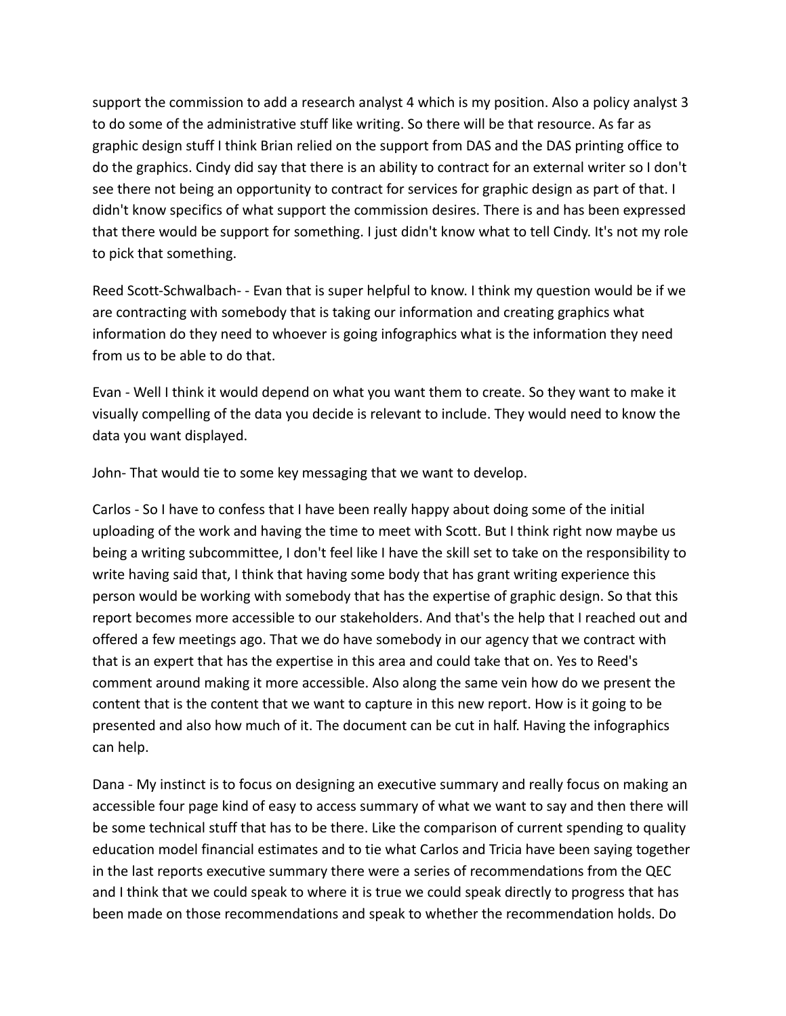support the commission to add a research analyst 4 which is my position. Also a policy analyst 3 to do some of the administrative stuff like writing. So there will be that resource. As far as graphic design stuff I think Brian relied on the support from DAS and the DAS printing office to do the graphics. Cindy did say that there is an ability to contract for an external writer so I don't see there not being an opportunity to contract for services for graphic design as part of that. I didn't know specifics of what support the commission desires. There is and has been expressed that there would be support for something. I just didn't know what to tell Cindy. It's not my role to pick that something.

Reed Scott-Schwalbach- - Evan that is super helpful to know. I think my question would be if we are contracting with somebody that is taking our information and creating graphics what information do they need to whoever is going infographics what is the information they need from us to be able to do that.

Evan - Well I think it would depend on what you want them to create. So they want to make it visually compelling of the data you decide is relevant to include. They would need to know the data you want displayed.

John- That would tie to some key messaging that we want to develop.

Carlos - So I have to confess that I have been really happy about doing some of the initial uploading of the work and having the time to meet with Scott. But I think right now maybe us being a writing subcommittee, I don't feel like I have the skill set to take on the responsibility to write having said that, I think that having some body that has grant writing experience this person would be working with somebody that has the expertise of graphic design. So that this report becomes more accessible to our stakeholders. And that's the help that I reached out and offered a few meetings ago. That we do have somebody in our agency that we contract with that is an expert that has the expertise in this area and could take that on. Yes to Reed's comment around making it more accessible. Also along the same vein how do we present the content that is the content that we want to capture in this new report. How is it going to be presented and also how much of it. The document can be cut in half. Having the infographics can help.

Dana - My instinct is to focus on designing an executive summary and really focus on making an accessible four page kind of easy to access summary of what we want to say and then there will be some technical stuff that has to be there. Like the comparison of current spending to quality education model financial estimates and to tie what Carlos and Tricia have been saying together in the last reports executive summary there were a series of recommendations from the QEC and I think that we could speak to where it is true we could speak directly to progress that has been made on those recommendations and speak to whether the recommendation holds. Do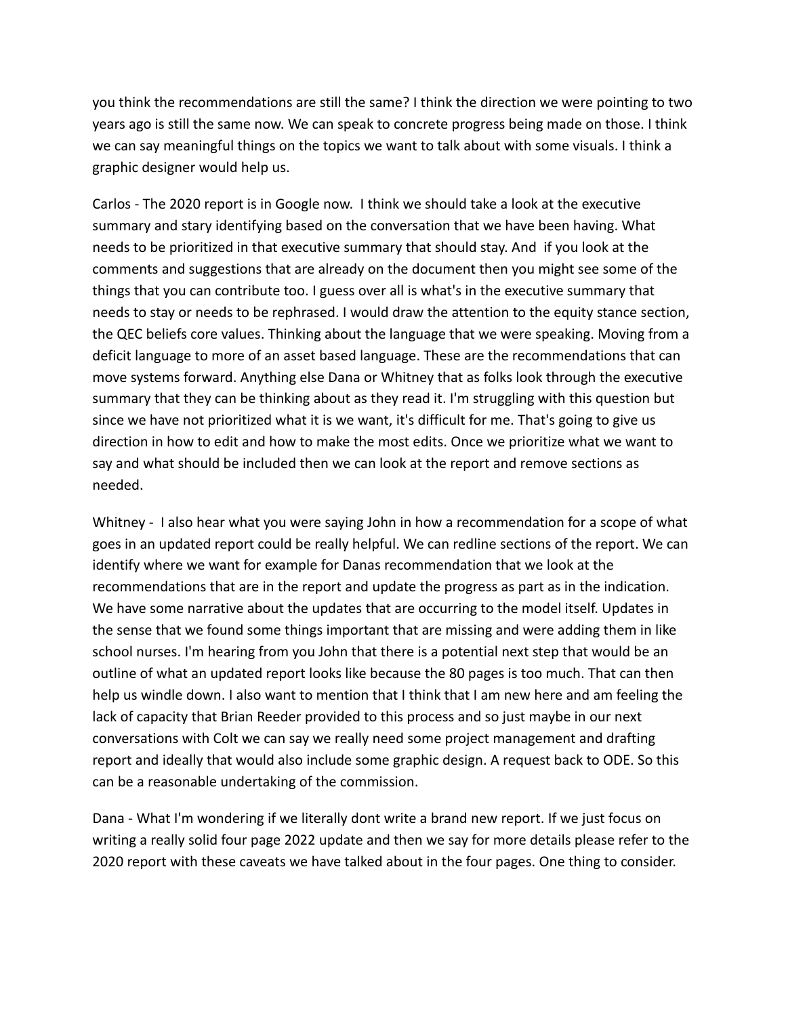you think the recommendations are still the same? I think the direction we were pointing to two years ago is still the same now. We can speak to concrete progress being made on those. I think we can say meaningful things on the topics we want to talk about with some visuals. I think a graphic designer would help us.

Carlos - The 2020 report is in Google now. I think we should take a look at the executive summary and stary identifying based on the conversation that we have been having. What needs to be prioritized in that executive summary that should stay. And if you look at the comments and suggestions that are already on the document then you might see some of the things that you can contribute too. I guess over all is what's in the executive summary that needs to stay or needs to be rephrased. I would draw the attention to the equity stance section, the QEC beliefs core values. Thinking about the language that we were speaking. Moving from a deficit language to more of an asset based language. These are the recommendations that can move systems forward. Anything else Dana or Whitney that as folks look through the executive summary that they can be thinking about as they read it. I'm struggling with this question but since we have not prioritized what it is we want, it's difficult for me. That's going to give us direction in how to edit and how to make the most edits. Once we prioritize what we want to say and what should be included then we can look at the report and remove sections as needed.

Whitney - I also hear what you were saying John in how a recommendation for a scope of what goes in an updated report could be really helpful. We can redline sections of the report. We can identify where we want for example for Danas recommendation that we look at the recommendations that are in the report and update the progress as part as in the indication. We have some narrative about the updates that are occurring to the model itself. Updates in the sense that we found some things important that are missing and were adding them in like school nurses. I'm hearing from you John that there is a potential next step that would be an outline of what an updated report looks like because the 80 pages is too much. That can then help us windle down. I also want to mention that I think that I am new here and am feeling the lack of capacity that Brian Reeder provided to this process and so just maybe in our next conversations with Colt we can say we really need some project management and drafting report and ideally that would also include some graphic design. A request back to ODE. So this can be a reasonable undertaking of the commission.

Dana - What I'm wondering if we literally dont write a brand new report. If we just focus on writing a really solid four page 2022 update and then we say for more details please refer to the 2020 report with these caveats we have talked about in the four pages. One thing to consider.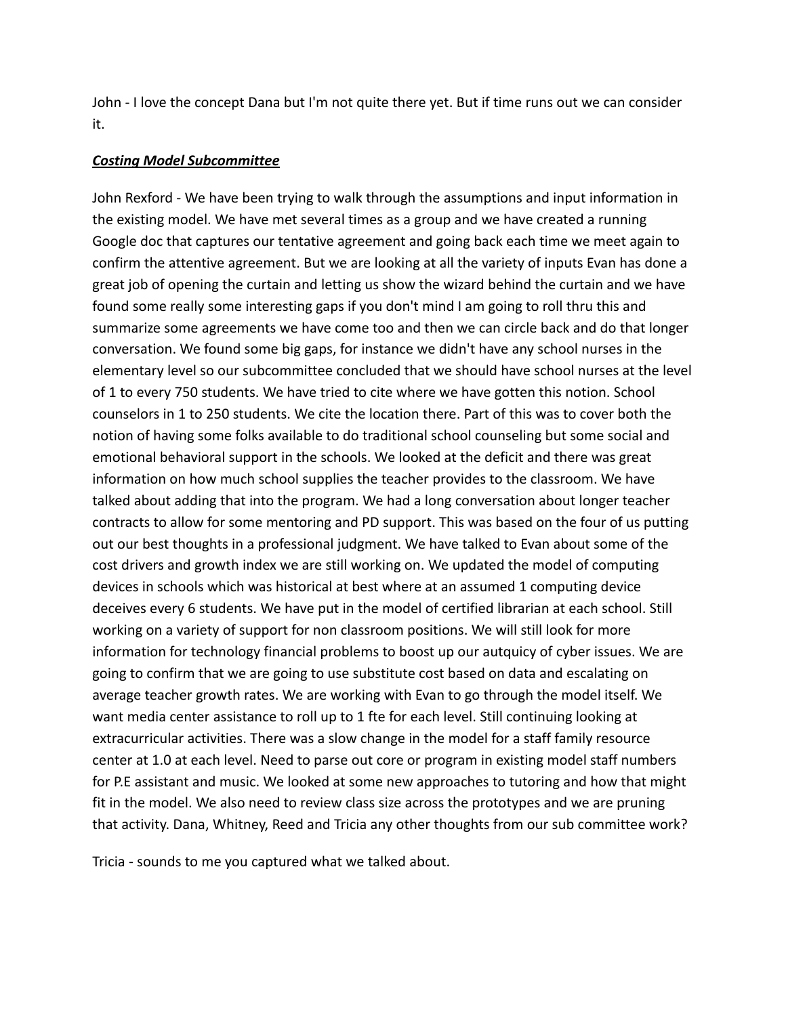John - I love the concept Dana but I'm not quite there yet. But if time runs out we can consider it.

#### *Costing Model Subcommittee*

John Rexford - We have been trying to walk through the assumptions and input information in the existing model. We have met several times as a group and we have created a running Google doc that captures our tentative agreement and going back each time we meet again to confirm the attentive agreement. But we are looking at all the variety of inputs Evan has done a great job of opening the curtain and letting us show the wizard behind the curtain and we have found some really some interesting gaps if you don't mind I am going to roll thru this and summarize some agreements we have come too and then we can circle back and do that longer conversation. We found some big gaps, for instance we didn't have any school nurses in the elementary level so our subcommittee concluded that we should have school nurses at the level of 1 to every 750 students. We have tried to cite where we have gotten this notion. School counselors in 1 to 250 students. We cite the location there. Part of this was to cover both the notion of having some folks available to do traditional school counseling but some social and emotional behavioral support in the schools. We looked at the deficit and there was great information on how much school supplies the teacher provides to the classroom. We have talked about adding that into the program. We had a long conversation about longer teacher contracts to allow for some mentoring and PD support. This was based on the four of us putting out our best thoughts in a professional judgment. We have talked to Evan about some of the cost drivers and growth index we are still working on. We updated the model of computing devices in schools which was historical at best where at an assumed 1 computing device deceives every 6 students. We have put in the model of certified librarian at each school. Still working on a variety of support for non classroom positions. We will still look for more information for technology financial problems to boost up our autquicy of cyber issues. We are going to confirm that we are going to use substitute cost based on data and escalating on average teacher growth rates. We are working with Evan to go through the model itself. We want media center assistance to roll up to 1 fte for each level. Still continuing looking at extracurricular activities. There was a slow change in the model for a staff family resource center at 1.0 at each level. Need to parse out core or program in existing model staff numbers for P.E assistant and music. We looked at some new approaches to tutoring and how that might fit in the model. We also need to review class size across the prototypes and we are pruning that activity. Dana, Whitney, Reed and Tricia any other thoughts from our sub committee work?

Tricia - sounds to me you captured what we talked about.